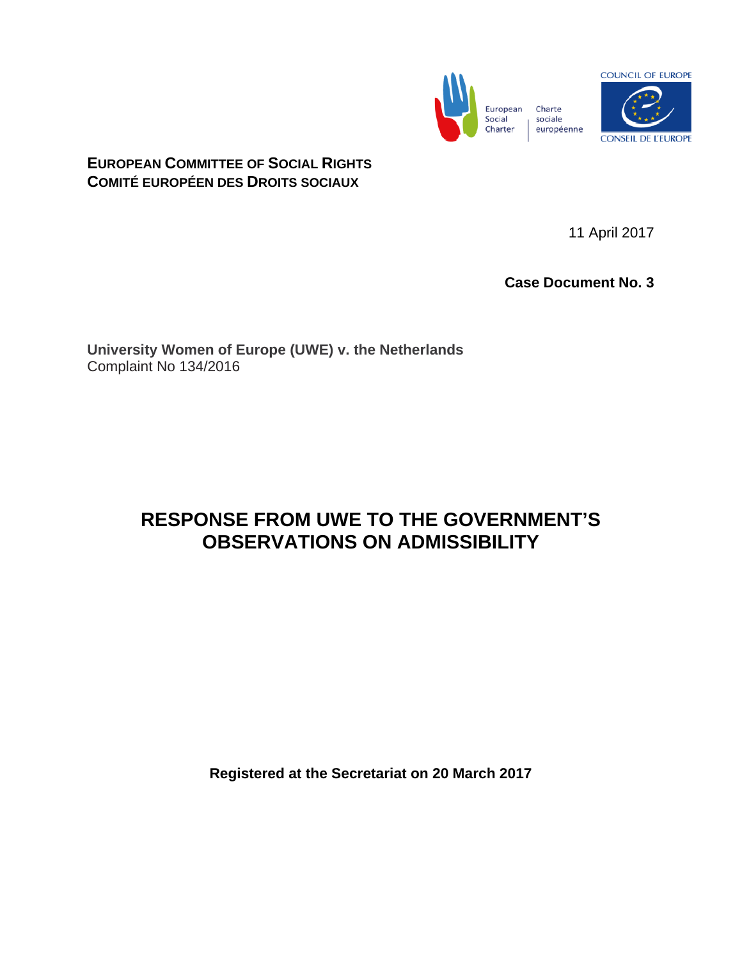



# **EUROPEAN COMMITTEE OF SOCIAL RIGHTS COMITÉ EUROPÉEN DES DROITS SOCIAUX**

11 April 2017

**Case Document No. 3**

**University Women of Europe (UWE) v. the Netherlands** Complaint No 134/2016

# **RESPONSE FROM UWE TO THE GOVERNMENT'S OBSERVATIONS ON ADMISSIBILITY**

**Registered at the Secretariat on 20 March 2017**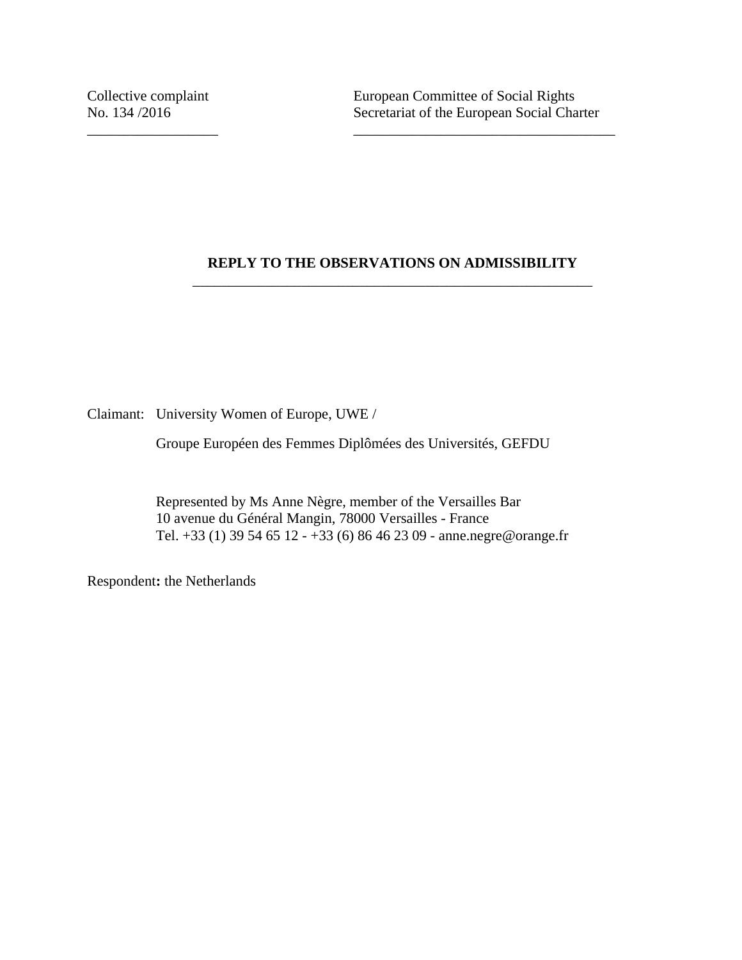## **REPLY TO THE OBSERVATIONS ON ADMISSIBILITY** \_\_\_\_\_\_\_\_\_\_\_\_\_\_\_\_\_\_\_\_\_\_\_\_\_\_\_\_\_\_\_\_\_\_\_\_\_\_\_\_\_\_\_\_\_\_\_\_\_\_\_\_\_\_\_

Claimant: University Women of Europe, UWE /

Groupe Européen des Femmes Diplômées des Universités, GEFDU

\_\_\_\_\_\_\_\_\_\_\_\_\_\_\_\_\_\_ \_\_\_\_\_\_\_\_\_\_\_\_\_\_\_\_\_\_\_\_\_\_\_\_\_\_\_\_\_\_\_\_\_\_\_\_

Represented by Ms Anne Nègre, member of the Versailles Bar 10 avenue du Général Mangin, 78000 Versailles - France Tel. +33 (1) 39 54 65 12 - +33 (6) 86 46 23 09 - anne.negre@orange.fr

Respondent**:** the Netherlands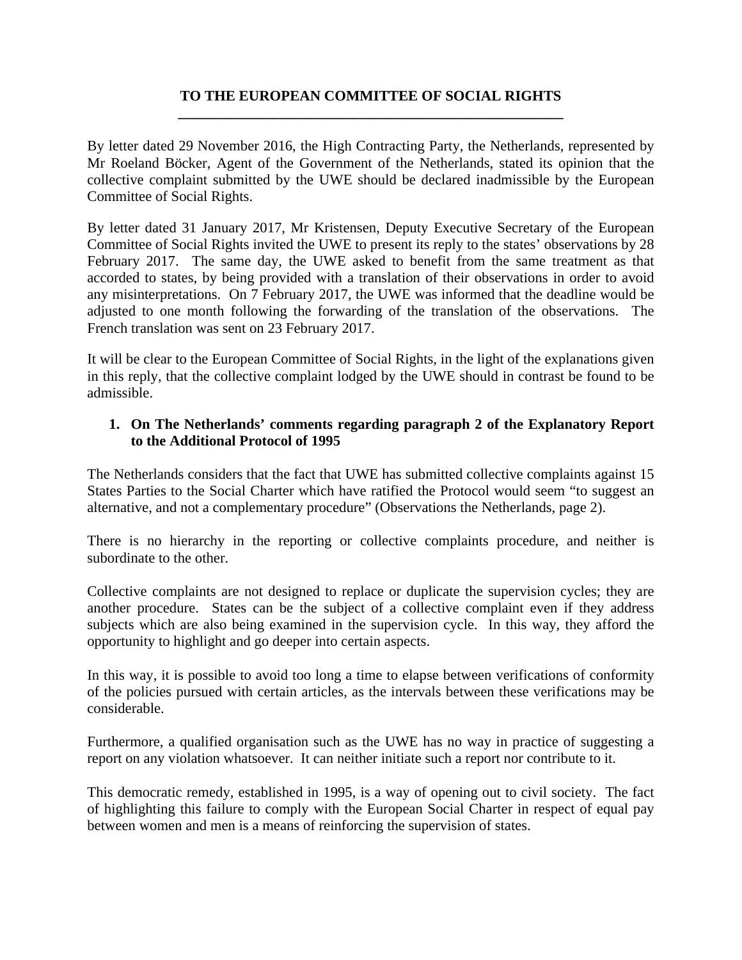## **TO THE EUROPEAN COMMITTEE OF SOCIAL RIGHTS \_\_\_\_\_\_\_\_\_\_\_\_\_\_\_\_\_\_\_\_\_\_\_\_\_\_\_\_\_\_\_\_\_\_\_\_\_\_\_\_\_\_\_\_\_\_\_\_\_\_\_\_\_**

By letter dated 29 November 2016, the High Contracting Party, the Netherlands, represented by Mr Roeland Böcker, Agent of the Government of the Netherlands, stated its opinion that the collective complaint submitted by the UWE should be declared inadmissible by the European Committee of Social Rights.

By letter dated 31 January 2017, Mr Kristensen, Deputy Executive Secretary of the European Committee of Social Rights invited the UWE to present its reply to the states' observations by 28 February 2017. The same day, the UWE asked to benefit from the same treatment as that accorded to states, by being provided with a translation of their observations in order to avoid any misinterpretations. On 7 February 2017, the UWE was informed that the deadline would be adjusted to one month following the forwarding of the translation of the observations. The French translation was sent on 23 February 2017.

It will be clear to the European Committee of Social Rights, in the light of the explanations given in this reply, that the collective complaint lodged by the UWE should in contrast be found to be admissible.

## **1. On The Netherlands' comments regarding paragraph 2 of the Explanatory Report to the Additional Protocol of 1995**

The Netherlands considers that the fact that UWE has submitted collective complaints against 15 States Parties to the Social Charter which have ratified the Protocol would seem "to suggest an alternative, and not a complementary procedure" (Observations the Netherlands, page 2).

There is no hierarchy in the reporting or collective complaints procedure, and neither is subordinate to the other.

Collective complaints are not designed to replace or duplicate the supervision cycles; they are another procedure. States can be the subject of a collective complaint even if they address subjects which are also being examined in the supervision cycle. In this way, they afford the opportunity to highlight and go deeper into certain aspects.

In this way, it is possible to avoid too long a time to elapse between verifications of conformity of the policies pursued with certain articles, as the intervals between these verifications may be considerable.

Furthermore, a qualified organisation such as the UWE has no way in practice of suggesting a report on any violation whatsoever. It can neither initiate such a report nor contribute to it.

This democratic remedy, established in 1995, is a way of opening out to civil society. The fact of highlighting this failure to comply with the European Social Charter in respect of equal pay between women and men is a means of reinforcing the supervision of states.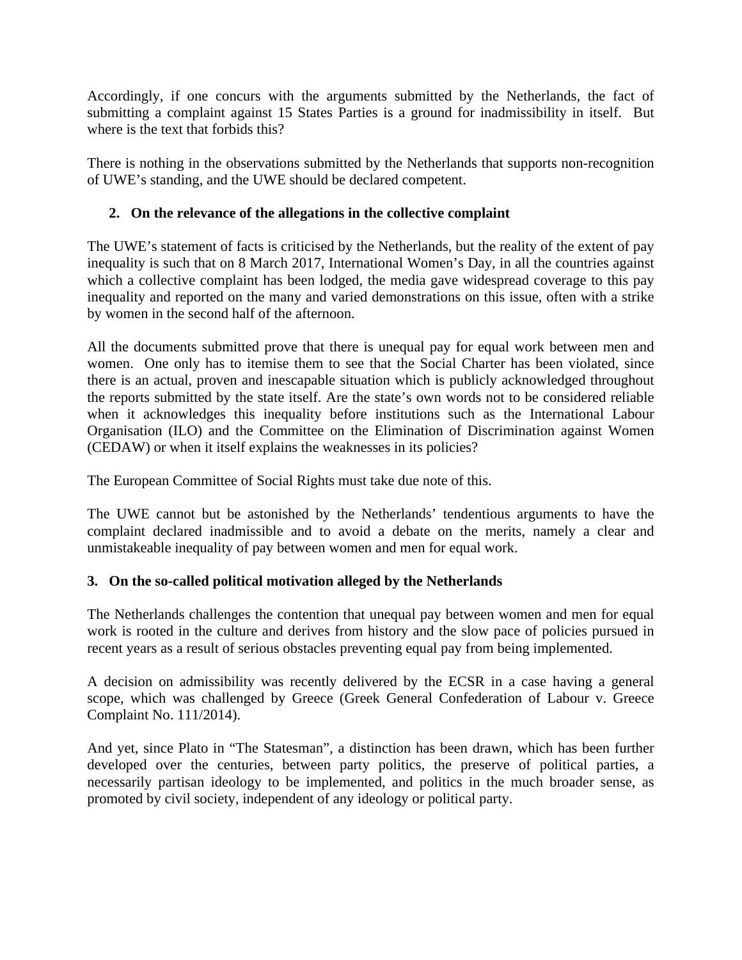Accordingly, if one concurs with the arguments submitted by the Netherlands, the fact of submitting a complaint against 15 States Parties is a ground for inadmissibility in itself. But where is the text that forbids this?

There is nothing in the observations submitted by the Netherlands that supports non-recognition of UWE's standing, and the UWE should be declared competent.

# **2. On the relevance of the allegations in the collective complaint**

The UWE's statement of facts is criticised by the Netherlands, but the reality of the extent of pay inequality is such that on 8 March 2017, International Women's Day, in all the countries against which a collective complaint has been lodged, the media gave widespread coverage to this pay inequality and reported on the many and varied demonstrations on this issue, often with a strike by women in the second half of the afternoon.

All the documents submitted prove that there is unequal pay for equal work between men and women. One only has to itemise them to see that the Social Charter has been violated, since there is an actual, proven and inescapable situation which is publicly acknowledged throughout the reports submitted by the state itself. Are the state's own words not to be considered reliable when it acknowledges this inequality before institutions such as the International Labour Organisation (ILO) and the Committee on the Elimination of Discrimination against Women (CEDAW) or when it itself explains the weaknesses in its policies?

The European Committee of Social Rights must take due note of this.

The UWE cannot but be astonished by the Netherlands' tendentious arguments to have the complaint declared inadmissible and to avoid a debate on the merits, namely a clear and unmistakeable inequality of pay between women and men for equal work.

# **3. On the so-called political motivation alleged by the Netherlands**

The Netherlands challenges the contention that unequal pay between women and men for equal work is rooted in the culture and derives from history and the slow pace of policies pursued in recent years as a result of serious obstacles preventing equal pay from being implemented.

A decision on admissibility was recently delivered by the ECSR in a case having a general scope, which was challenged by Greece (Greek General Confederation of Labour v. Greece Complaint No. 111/2014).

And yet, since Plato in "The Statesman", a distinction has been drawn, which has been further developed over the centuries, between party politics, the preserve of political parties, a necessarily partisan ideology to be implemented, and politics in the much broader sense, as promoted by civil society, independent of any ideology or political party.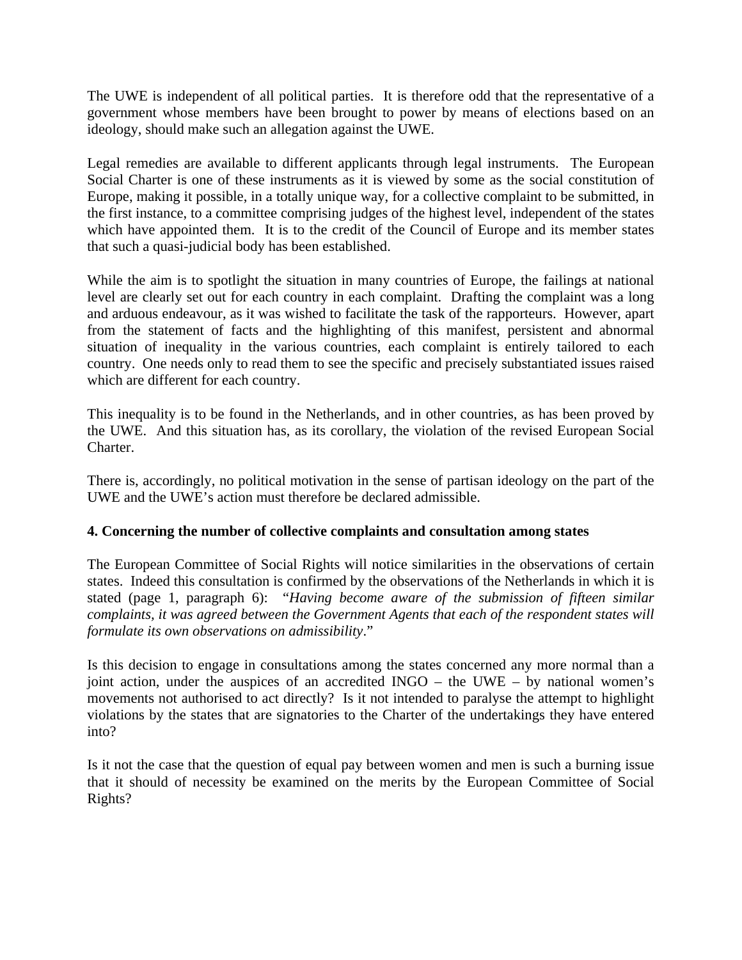The UWE is independent of all political parties. It is therefore odd that the representative of a government whose members have been brought to power by means of elections based on an ideology, should make such an allegation against the UWE.

Legal remedies are available to different applicants through legal instruments. The European Social Charter is one of these instruments as it is viewed by some as the social constitution of Europe, making it possible, in a totally unique way, for a collective complaint to be submitted, in the first instance, to a committee comprising judges of the highest level, independent of the states which have appointed them. It is to the credit of the Council of Europe and its member states that such a quasi-judicial body has been established.

While the aim is to spotlight the situation in many countries of Europe, the failings at national level are clearly set out for each country in each complaint. Drafting the complaint was a long and arduous endeavour, as it was wished to facilitate the task of the rapporteurs. However, apart from the statement of facts and the highlighting of this manifest, persistent and abnormal situation of inequality in the various countries, each complaint is entirely tailored to each country. One needs only to read them to see the specific and precisely substantiated issues raised which are different for each country.

This inequality is to be found in the Netherlands, and in other countries, as has been proved by the UWE. And this situation has, as its corollary, the violation of the revised European Social Charter.

There is, accordingly, no political motivation in the sense of partisan ideology on the part of the UWE and the UWE's action must therefore be declared admissible.

# **4. Concerning the number of collective complaints and consultation among states**

The European Committee of Social Rights will notice similarities in the observations of certain states. Indeed this consultation is confirmed by the observations of the Netherlands in which it is stated (page 1, paragraph 6): "*Having become aware of the submission of fifteen similar complaints, it was agreed between the Government Agents that each of the respondent states will formulate its own observations on admissibility*."

Is this decision to engage in consultations among the states concerned any more normal than a joint action, under the auspices of an accredited INGO – the UWE – by national women's movements not authorised to act directly? Is it not intended to paralyse the attempt to highlight violations by the states that are signatories to the Charter of the undertakings they have entered into?

Is it not the case that the question of equal pay between women and men is such a burning issue that it should of necessity be examined on the merits by the European Committee of Social Rights?